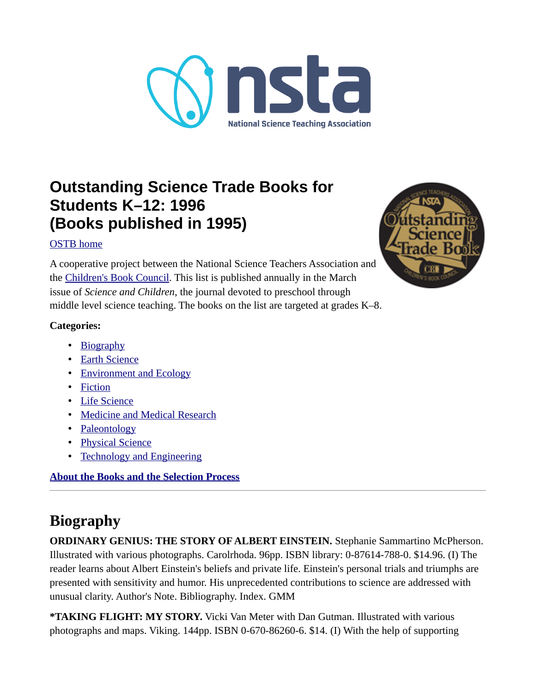

## **Outstanding Science Trade Books for Students K–12: 1996 (Books published in 1995)**

### [OSTB home](https://www.nsta.org/outstanding-science-trade-books-students-k-12)

A cooperative project between the National Science Teachers Association and the [Children's Book Council](http://www.cbcbooks.org/). This list is published annually in the March issue of *Science and Children*, the journal devoted to preschool through middle level science teaching. The books on the list are targeted at grades K–8.

#### **Categories:**

- • [Biography](#page-0-0)
- • [Earth Science](#page-1-1)
- • [Environment and Ecology](#page-1-0)
- • [Fiction](#page-3-0)
- • [Life Science](#page-4-0)
- [Medicine and Medical Research](#page-7-0)
- • [Paleontology](#page-8-2)
- • [Physical Science](#page-8-1)
- [Technology and Engineering](#page-8-0)

### **[About the Books and the Selection Process](#page-9-0)**

# <span id="page-0-0"></span>**Biography**

**ORDINARY GENIUS: THE STORY OF ALBERT EINSTEIN.** Stephanie Sammartino McPherson. Illustrated with various photographs. Carolrhoda. 96pp. ISBN library: 0-87614-788-0. \$14.96. (I) The reader learns about Albert Einstein's beliefs and private life. Einstein's personal trials and triumphs are presented with sensitivity and humor. His unprecedented contributions to science are addressed with unusual clarity. Author's Note. Bibliography. Index. GMM

**\*TAKING FLIGHT: MY STORY.** Vicki Van Meter with Dan Gutman. Illustrated with various photographs and maps. Viking. 144pp. ISBN 0-670-86260-6. \$14. (I) With the help of supporting

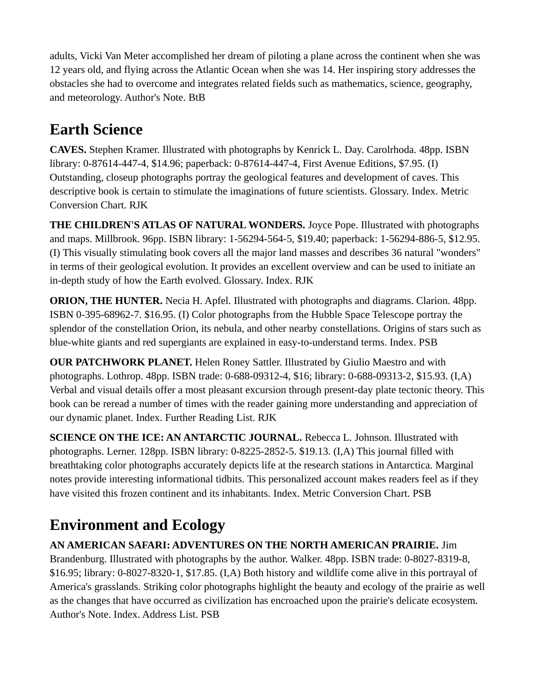adults, Vicki Van Meter accomplished her dream of piloting a plane across the continent when she was 12 years old, and flying across the Atlantic Ocean when she was 14. Her inspiring story addresses the obstacles she had to overcome and integrates related fields such as mathematics, science, geography, and meteorology. Author's Note. BtB

# <span id="page-1-1"></span>**Earth Science**

**CAVES.** Stephen Kramer. Illustrated with photographs by Kenrick L. Day. Carolrhoda. 48pp. ISBN library: 0-87614-447-4, \$14.96; paperback: 0-87614-447-4, First Avenue Editions, \$7.95. (I) Outstanding, closeup photographs portray the geological features and development of caves. This descriptive book is certain to stimulate the imaginations of future scientists. Glossary. Index. Metric Conversion Chart. RJK

**THE CHILDREN'S ATLAS OF NATURAL WONDERS.** Joyce Pope. Illustrated with photographs and maps. Millbrook. 96pp. ISBN library: 1-56294-564-5, \$19.40; paperback: 1-56294-886-5, \$12.95. (I) This visually stimulating book covers all the major land masses and describes 36 natural "wonders" in terms of their geological evolution. It provides an excellent overview and can be used to initiate an in-depth study of how the Earth evolved. Glossary. Index. RJK

**ORION, THE HUNTER.** Necia H. Apfel. Illustrated with photographs and diagrams. Clarion. 48pp. ISBN 0-395-68962-7. \$16.95. (I) Color photographs from the Hubble Space Telescope portray the splendor of the constellation Orion, its nebula, and other nearby constellations. Origins of stars such as blue-white giants and red supergiants are explained in easy-to-understand terms. Index. PSB

**OUR PATCHWORK PLANET.** Helen Roney Sattler. Illustrated by Giulio Maestro and with photographs. Lothrop. 48pp. ISBN trade: 0-688-09312-4, \$16; library: 0-688-09313-2, \$15.93. (I,A) Verbal and visual details offer a most pleasant excursion through present-day plate tectonic theory. This book can be reread a number of times with the reader gaining more understanding and appreciation of our dynamic planet. Index. Further Reading List. RJK

**SCIENCE ON THE ICE: AN ANTARCTIC JOURNAL.** Rebecca L. Johnson. Illustrated with photographs. Lerner. 128pp. ISBN library: 0-8225-2852-5. \$19.13. (I,A) This journal filled with breathtaking color photographs accurately depicts life at the research stations in Antarctica. Marginal notes provide interesting informational tidbits. This personalized account makes readers feel as if they have visited this frozen continent and its inhabitants. Index. Metric Conversion Chart. PSB

# <span id="page-1-0"></span>**Environment and Ecology**

**AN AMERICAN SAFARI: ADVENTURES ON THE NORTH AMERICAN PRAIRIE.** Jim Brandenburg. Illustrated with photographs by the author. Walker. 48pp. ISBN trade: 0-8027-8319-8, \$16.95; library: 0-8027-8320-1, \$17.85. (I,A) Both history and wildlife come alive in this portrayal of America's grasslands. Striking color photographs highlight the beauty and ecology of the prairie as well as the changes that have occurred as civilization has encroached upon the prairie's delicate ecosystem. Author's Note. Index. Address List. PSB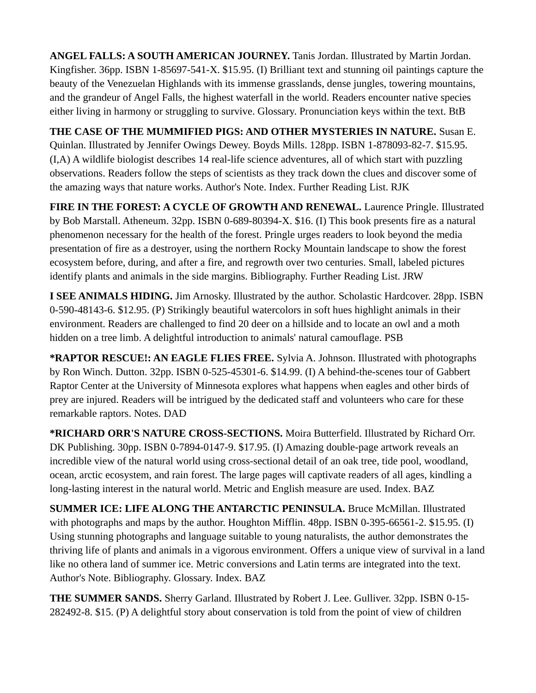**ANGEL FALLS: A SOUTH AMERICAN JOURNEY.** Tanis Jordan. Illustrated by Martin Jordan. Kingfisher. 36pp. ISBN 1-85697-541-X. \$15.95. (I) Brilliant text and stunning oil paintings capture the beauty of the Venezuelan Highlands with its immense grasslands, dense jungles, towering mountains, and the grandeur of Angel Falls, the highest waterfall in the world. Readers encounter native species either living in harmony or struggling to survive. Glossary. Pronunciation keys within the text. BtB

**THE CASE OF THE MUMMIFIED PIGS: AND OTHER MYSTERIES IN NATURE.** Susan E. Quinlan. Illustrated by Jennifer Owings Dewey. Boyds Mills. 128pp. ISBN 1-878093-82-7. \$15.95. (I,A) A wildlife biologist describes 14 real-life science adventures, all of which start with puzzling observations. Readers follow the steps of scientists as they track down the clues and discover some of the amazing ways that nature works. Author's Note. Index. Further Reading List. RJK

**FIRE IN THE FOREST: A CYCLE OF GROWTH AND RENEWAL.** Laurence Pringle. Illustrated by Bob Marstall. Atheneum. 32pp. ISBN 0-689-80394-X. \$16. (I) This book presents fire as a natural phenomenon necessary for the health of the forest. Pringle urges readers to look beyond the media presentation of fire as a destroyer, using the northern Rocky Mountain landscape to show the forest ecosystem before, during, and after a fire, and regrowth over two centuries. Small, labeled pictures identify plants and animals in the side margins. Bibliography. Further Reading List. JRW

**I SEE ANIMALS HIDING.** Jim Arnosky. Illustrated by the author. Scholastic Hardcover. 28pp. ISBN 0-590-48143-6. \$12.95. (P) Strikingly beautiful watercolors in soft hues highlight animals in their environment. Readers are challenged to find 20 deer on a hillside and to locate an owl and a moth hidden on a tree limb. A delightful introduction to animals' natural camouflage. PSB

**\*RAPTOR RESCUE!: AN EAGLE FLIES FREE.** Sylvia A. Johnson. Illustrated with photographs by Ron Winch. Dutton. 32pp. ISBN 0-525-45301-6. \$14.99. (I) A behind-the-scenes tour of Gabbert Raptor Center at the University of Minnesota explores what happens when eagles and other birds of prey are injured. Readers will be intrigued by the dedicated staff and volunteers who care for these remarkable raptors. Notes. DAD

**\*RICHARD ORR'S NATURE CROSS-SECTIONS.** Moira Butterfield. Illustrated by Richard Orr. DK Publishing. 30pp. ISBN 0-7894-0147-9. \$17.95. (I) Amazing double-page artwork reveals an incredible view of the natural world using cross-sectional detail of an oak tree, tide pool, woodland, ocean, arctic ecosystem, and rain forest. The large pages will captivate readers of all ages, kindling a long-lasting interest in the natural world. Metric and English measure are used. Index. BAZ

**SUMMER ICE: LIFE ALONG THE ANTARCTIC PENINSULA.** Bruce McMillan. Illustrated with photographs and maps by the author. Houghton Mifflin. 48pp. ISBN 0-395-66561-2. \$15.95. (I) Using stunning photographs and language suitable to young naturalists, the author demonstrates the thriving life of plants and animals in a vigorous environment. Offers a unique view of survival in a land like no othera land of summer ice. Metric conversions and Latin terms are integrated into the text. Author's Note. Bibliography. Glossary. Index. BAZ

**THE SUMMER SANDS.** Sherry Garland. Illustrated by Robert J. Lee. Gulliver. 32pp. ISBN 0-15- 282492-8. \$15. (P) A delightful story about conservation is told from the point of view of children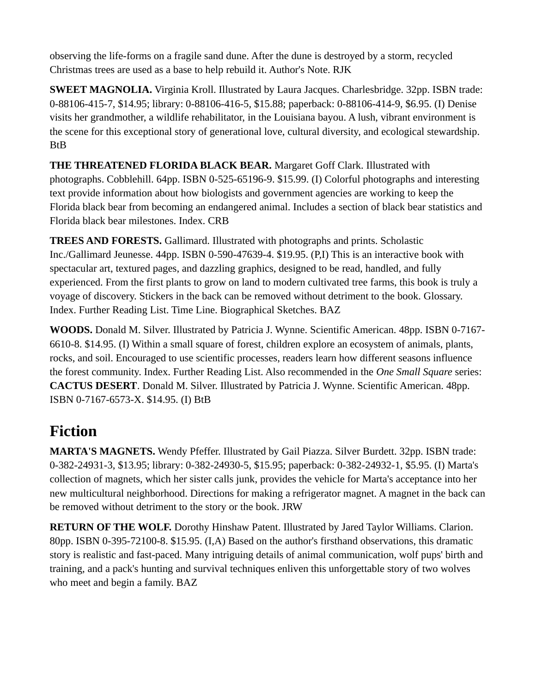observing the life-forms on a fragile sand dune. After the dune is destroyed by a storm, recycled Christmas trees are used as a base to help rebuild it. Author's Note. RJK

**SWEET MAGNOLIA.** Virginia Kroll. Illustrated by Laura Jacques. Charlesbridge. 32pp. ISBN trade: 0-88106-415-7, \$14.95; library: 0-88106-416-5, \$15.88; paperback: 0-88106-414-9, \$6.95. (I) Denise visits her grandmother, a wildlife rehabilitator, in the Louisiana bayou. A lush, vibrant environment is the scene for this exceptional story of generational love, cultural diversity, and ecological stewardship. BtB

**THE THREATENED FLORIDA BLACK BEAR.** Margaret Goff Clark. Illustrated with photographs. Cobblehill. 64pp. ISBN 0-525-65196-9. \$15.99. (I) Colorful photographs and interesting text provide information about how biologists and government agencies are working to keep the Florida black bear from becoming an endangered animal. Includes a section of black bear statistics and Florida black bear milestones. Index. CRB

**TREES AND FORESTS.** Gallimard. Illustrated with photographs and prints. Scholastic Inc./Gallimard Jeunesse. 44pp. ISBN 0-590-47639-4. \$19.95. (P,I) This is an interactive book with spectacular art, textured pages, and dazzling graphics, designed to be read, handled, and fully experienced. From the first plants to grow on land to modern cultivated tree farms, this book is truly a voyage of discovery. Stickers in the back can be removed without detriment to the book. Glossary. Index. Further Reading List. Time Line. Biographical Sketches. BAZ

**WOODS.** Donald M. Silver. Illustrated by Patricia J. Wynne. Scientific American. 48pp. ISBN 0-7167- 6610-8. \$14.95. (I) Within a small square of forest, children explore an ecosystem of animals, plants, rocks, and soil. Encouraged to use scientific processes, readers learn how different seasons influence the forest community. Index. Further Reading List. Also recommended in the *One Small Square* series: **CACTUS DESERT**. Donald M. Silver. Illustrated by Patricia J. Wynne. Scientific American. 48pp. ISBN 0-7167-6573-X. \$14.95. (I) BtB

### <span id="page-3-0"></span>**Fiction**

**MARTA'S MAGNETS.** Wendy Pfeffer. Illustrated by Gail Piazza. Silver Burdett. 32pp. ISBN trade: 0-382-24931-3, \$13.95; library: 0-382-24930-5, \$15.95; paperback: 0-382-24932-1, \$5.95. (I) Marta's collection of magnets, which her sister calls junk, provides the vehicle for Marta's acceptance into her new multicultural neighborhood. Directions for making a refrigerator magnet. A magnet in the back can be removed without detriment to the story or the book. JRW

**RETURN OF THE WOLF.** Dorothy Hinshaw Patent. Illustrated by Jared Taylor Williams. Clarion. 80pp. ISBN 0-395-72100-8. \$15.95. (I,A) Based on the author's firsthand observations, this dramatic story is realistic and fast-paced. Many intriguing details of animal communication, wolf pups' birth and training, and a pack's hunting and survival techniques enliven this unforgettable story of two wolves who meet and begin a family. BAZ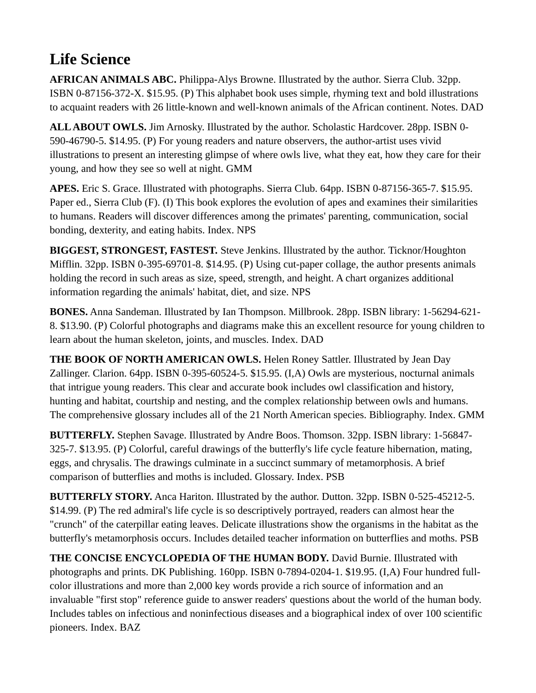# <span id="page-4-0"></span>**Life Science**

**AFRICAN ANIMALS ABC.** Philippa-Alys Browne. Illustrated by the author. Sierra Club. 32pp. ISBN 0-87156-372-X. \$15.95. (P) This alphabet book uses simple, rhyming text and bold illustrations to acquaint readers with 26 little-known and well-known animals of the African continent. Notes. DAD

**ALL ABOUT OWLS.** Jim Arnosky. Illustrated by the author. Scholastic Hardcover. 28pp. ISBN 0- 590-46790-5. \$14.95. (P) For young readers and nature observers, the author-artist uses vivid illustrations to present an interesting glimpse of where owls live, what they eat, how they care for their young, and how they see so well at night. GMM

**APES.** Eric S. Grace. Illustrated with photographs. Sierra Club. 64pp. ISBN 0-87156-365-7. \$15.95. Paper ed., Sierra Club (F). (I) This book explores the evolution of apes and examines their similarities to humans. Readers will discover differences among the primates' parenting, communication, social bonding, dexterity, and eating habits. Index. NPS

**BIGGEST, STRONGEST, FASTEST.** Steve Jenkins. Illustrated by the author. Ticknor/Houghton Mifflin. 32pp. ISBN 0-395-69701-8. \$14.95. (P) Using cut-paper collage, the author presents animals holding the record in such areas as size, speed, strength, and height. A chart organizes additional information regarding the animals' habitat, diet, and size. NPS

**BONES.** Anna Sandeman. Illustrated by Ian Thompson. Millbrook. 28pp. ISBN library: 1-56294-621- 8. \$13.90. (P) Colorful photographs and diagrams make this an excellent resource for young children to learn about the human skeleton, joints, and muscles. Index. DAD

**THE BOOK OF NORTH AMERICAN OWLS.** Helen Roney Sattler. Illustrated by Jean Day Zallinger. Clarion. 64pp. ISBN 0-395-60524-5. \$15.95. (I,A) Owls are mysterious, nocturnal animals that intrigue young readers. This clear and accurate book includes owl classification and history, hunting and habitat, courtship and nesting, and the complex relationship between owls and humans. The comprehensive glossary includes all of the 21 North American species. Bibliography. Index. GMM

**BUTTERFLY.** Stephen Savage. Illustrated by Andre Boos. Thomson. 32pp. ISBN library: 1-56847- 325-7. \$13.95. (P) Colorful, careful drawings of the butterfly's life cycle feature hibernation, mating, eggs, and chrysalis. The drawings culminate in a succinct summary of metamorphosis. A brief comparison of butterflies and moths is included. Glossary. Index. PSB

**BUTTERFLY STORY.** Anca Hariton. Illustrated by the author. Dutton. 32pp. ISBN 0-525-45212-5. \$14.99. (P) The red admiral's life cycle is so descriptively portrayed, readers can almost hear the "crunch" of the caterpillar eating leaves. Delicate illustrations show the organisms in the habitat as the butterfly's metamorphosis occurs. Includes detailed teacher information on butterflies and moths. PSB

**THE CONCISE ENCYCLOPEDIA OF THE HUMAN BODY.** David Burnie. Illustrated with photographs and prints. DK Publishing. 160pp. ISBN 0-7894-0204-1. \$19.95. (I,A) Four hundred fullcolor illustrations and more than 2,000 key words provide a rich source of information and an invaluable "first stop" reference guide to answer readers' questions about the world of the human body. Includes tables on infectious and noninfectious diseases and a biographical index of over 100 scientific pioneers. Index. BAZ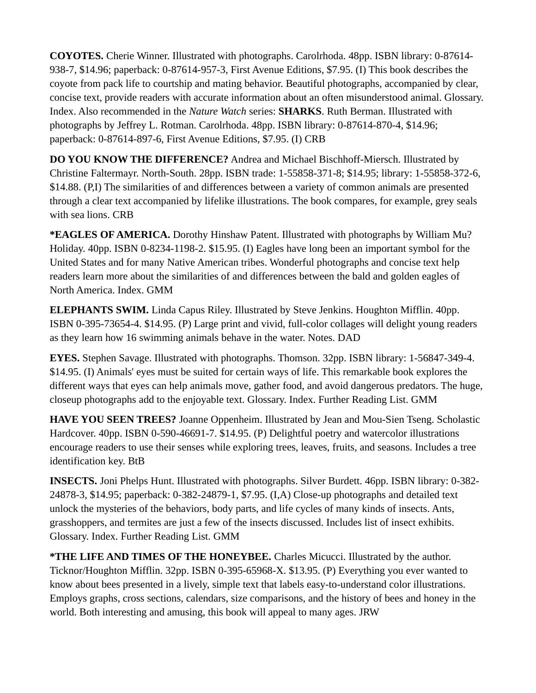**COYOTES.** Cherie Winner. Illustrated with photographs. Carolrhoda. 48pp. ISBN library: 0-87614- 938-7, \$14.96; paperback: 0-87614-957-3, First Avenue Editions, \$7.95. (I) This book describes the coyote from pack life to courtship and mating behavior. Beautiful photographs, accompanied by clear, concise text, provide readers with accurate information about an often misunderstood animal. Glossary. Index. Also recommended in the *Nature Watch* series: **SHARKS**. Ruth Berman. Illustrated with photographs by Jeffrey L. Rotman. Carolrhoda. 48pp. ISBN library: 0-87614-870-4, \$14.96; paperback: 0-87614-897-6, First Avenue Editions, \$7.95. (I) CRB

**DO YOU KNOW THE DIFFERENCE?** Andrea and Michael Bischhoff-Miersch. Illustrated by Christine Faltermayr. North-South. 28pp. ISBN trade: 1-55858-371-8; \$14.95; library: 1-55858-372-6, \$14.88. (P,I) The similarities of and differences between a variety of common animals are presented through a clear text accompanied by lifelike illustrations. The book compares, for example, grey seals with sea lions. CRB

**\*EAGLES OF AMERICA.** Dorothy Hinshaw Patent. Illustrated with photographs by William Mu? Holiday. 40pp. ISBN 0-8234-1198-2. \$15.95. (I) Eagles have long been an important symbol for the United States and for many Native American tribes. Wonderful photographs and concise text help readers learn more about the similarities of and differences between the bald and golden eagles of North America. Index. GMM

**ELEPHANTS SWIM.** Linda Capus Riley. Illustrated by Steve Jenkins. Houghton Mifflin. 40pp. ISBN 0-395-73654-4. \$14.95. (P) Large print and vivid, full-color collages will delight young readers as they learn how 16 swimming animals behave in the water. Notes. DAD

**EYES.** Stephen Savage. Illustrated with photographs. Thomson. 32pp. ISBN library: 1-56847-349-4. \$14.95. (I) Animals' eyes must be suited for certain ways of life. This remarkable book explores the different ways that eyes can help animals move, gather food, and avoid dangerous predators. The huge, closeup photographs add to the enjoyable text. Glossary. Index. Further Reading List. GMM

**HAVE YOU SEEN TREES?** Joanne Oppenheim. Illustrated by Jean and Mou-Sien Tseng. Scholastic Hardcover. 40pp. ISBN 0-590-46691-7. \$14.95. (P) Delightful poetry and watercolor illustrations encourage readers to use their senses while exploring trees, leaves, fruits, and seasons. Includes a tree identification key. BtB

**INSECTS.** Joni Phelps Hunt. Illustrated with photographs. Silver Burdett. 46pp. ISBN library: 0-382- 24878-3, \$14.95; paperback: 0-382-24879-1, \$7.95. (I,A) Close-up photographs and detailed text unlock the mysteries of the behaviors, body parts, and life cycles of many kinds of insects. Ants, grasshoppers, and termites are just a few of the insects discussed. Includes list of insect exhibits. Glossary. Index. Further Reading List. GMM

**\*THE LIFE AND TIMES OF THE HONEYBEE.** Charles Micucci. Illustrated by the author. Ticknor/Houghton Mifflin. 32pp. ISBN 0-395-65968-X. \$13.95. (P) Everything you ever wanted to know about bees presented in a lively, simple text that labels easy-to-understand color illustrations. Employs graphs, cross sections, calendars, size comparisons, and the history of bees and honey in the world. Both interesting and amusing, this book will appeal to many ages. JRW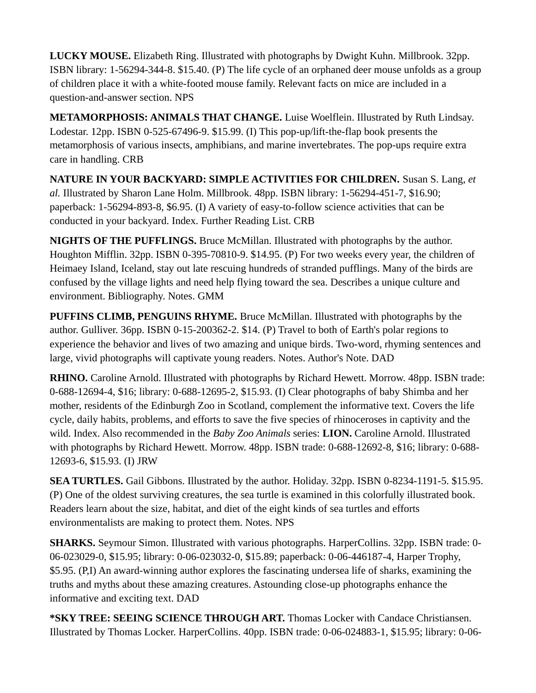**LUCKY MOUSE.** Elizabeth Ring. Illustrated with photographs by Dwight Kuhn. Millbrook. 32pp. ISBN library: 1-56294-344-8. \$15.40. (P) The life cycle of an orphaned deer mouse unfolds as a group of children place it with a white-footed mouse family. Relevant facts on mice are included in a question-and-answer section. NPS

**METAMORPHOSIS: ANIMALS THAT CHANGE.** Luise Woelflein. Illustrated by Ruth Lindsay. Lodestar. 12pp. ISBN 0-525-67496-9. \$15.99. (I) This pop-up/lift-the-flap book presents the metamorphosis of various insects, amphibians, and marine invertebrates. The pop-ups require extra care in handling. CRB

**NATURE IN YOUR BACKYARD: SIMPLE ACTIVITIES FOR CHILDREN.** Susan S. Lang, *et al.* Illustrated by Sharon Lane Holm. Millbrook. 48pp. ISBN library: 1-56294-451-7, \$16.90; paperback: 1-56294-893-8, \$6.95. (I) A variety of easy-to-follow science activities that can be conducted in your backyard. Index. Further Reading List. CRB

**NIGHTS OF THE PUFFLINGS.** Bruce McMillan. Illustrated with photographs by the author. Houghton Mifflin. 32pp. ISBN 0-395-70810-9. \$14.95. (P) For two weeks every year, the children of Heimaey Island, Iceland, stay out late rescuing hundreds of stranded pufflings. Many of the birds are confused by the village lights and need help flying toward the sea. Describes a unique culture and environment. Bibliography. Notes. GMM

**PUFFINS CLIMB, PENGUINS RHYME.** Bruce McMillan. Illustrated with photographs by the author. Gulliver. 36pp. ISBN 0-15-200362-2. \$14. (P) Travel to both of Earth's polar regions to experience the behavior and lives of two amazing and unique birds. Two-word, rhyming sentences and large, vivid photographs will captivate young readers. Notes. Author's Note. DAD

**RHINO.** Caroline Arnold. Illustrated with photographs by Richard Hewett. Morrow. 48pp. ISBN trade: 0-688-12694-4, \$16; library: 0-688-12695-2, \$15.93. (I) Clear photographs of baby Shimba and her mother, residents of the Edinburgh Zoo in Scotland, complement the informative text. Covers the life cycle, daily habits, problems, and efforts to save the five species of rhinoceroses in captivity and the wild. Index. Also recommended in the *Baby Zoo Animals* series: **LION.** Caroline Arnold. Illustrated with photographs by Richard Hewett. Morrow. 48pp. ISBN trade: 0-688-12692-8, \$16; library: 0-688- 12693-6, \$15.93. (I) JRW

**SEA TURTLES.** Gail Gibbons. Illustrated by the author. Holiday. 32pp. ISBN 0-8234-1191-5. \$15.95. (P) One of the oldest surviving creatures, the sea turtle is examined in this colorfully illustrated book. Readers learn about the size, habitat, and diet of the eight kinds of sea turtles and efforts environmentalists are making to protect them. Notes. NPS

**SHARKS.** Seymour Simon. Illustrated with various photographs. HarperCollins. 32pp. ISBN trade: 0- 06-023029-0, \$15.95; library: 0-06-023032-0, \$15.89; paperback: 0-06-446187-4, Harper Trophy, \$5.95. (P,I) An award-winning author explores the fascinating undersea life of sharks, examining the truths and myths about these amazing creatures. Astounding close-up photographs enhance the informative and exciting text. DAD

**\*SKY TREE: SEEING SCIENCE THROUGH ART.** Thomas Locker with Candace Christiansen. Illustrated by Thomas Locker. HarperCollins. 40pp. ISBN trade: 0-06-024883-1, \$15.95; library: 0-06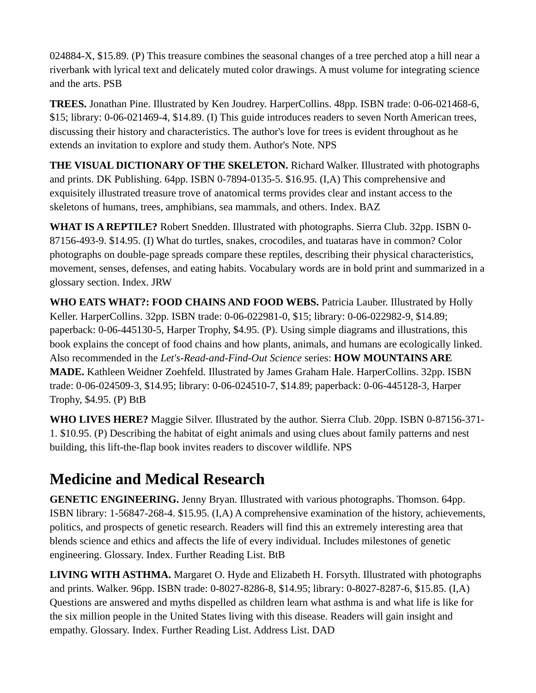024884-X, \$15.89. (P) This treasure combines the seasonal changes of a tree perched atop a hill near a riverbank with lyrical text and delicately muted color drawings. A must volume for integrating science and the arts. PSB

**TREES.** Jonathan Pine. Illustrated by Ken Joudrey. HarperCollins. 48pp. ISBN trade: 0-06-021468-6, \$15; library: 0-06-021469-4, \$14.89. (I) This guide introduces readers to seven North American trees, discussing their history and characteristics. The author's love for trees is evident throughout as he extends an invitation to explore and study them. Author's Note. NPS

**THE VISUAL DICTIONARY OF THE SKELETON.** Richard Walker. Illustrated with photographs and prints. DK Publishing. 64pp. ISBN 0-7894-0135-5. \$16.95. (I,A) This comprehensive and exquisitely illustrated treasure trove of anatomical terms provides clear and instant access to the skeletons of humans, trees, amphibians, sea mammals, and others. Index. BAZ

**WHAT IS A REPTILE?** Robert Snedden. Illustrated with photographs. Sierra Club. 32pp. ISBN 0- 87156-493-9. \$14.95. (I) What do turtles, snakes, crocodiles, and tuataras have in common? Color photographs on double-page spreads compare these reptiles, describing their physical characteristics, movement, senses, defenses, and eating habits. Vocabulary words are in bold print and summarized in a glossary section. Index. JRW

**WHO EATS WHAT?: FOOD CHAINS AND FOOD WEBS.** Patricia Lauber. Illustrated by Holly Keller. HarperCollins. 32pp. ISBN trade: 0-06-022981-0, \$15; library: 0-06-022982-9, \$14.89; paperback: 0-06-445130-5, Harper Trophy, \$4.95. (P). Using simple diagrams and illustrations, this book explains the concept of food chains and how plants, animals, and humans are ecologically linked. Also recommended in the *Let's-Read-and-Find-Out Science* series: **HOW MOUNTAINS ARE MADE.** Kathleen Weidner Zoehfeld. Illustrated by James Graham Hale. HarperCollins. 32pp. ISBN trade: 0-06-024509-3, \$14.95; library: 0-06-024510-7, \$14.89; paperback: 0-06-445128-3, Harper Trophy, \$4.95. (P) BtB

**WHO LIVES HERE?** Maggie Silver. Illustrated by the author. Sierra Club. 20pp. ISBN 0-87156-371- 1. \$10.95. (P) Describing the habitat of eight animals and using clues about family patterns and nest building, this lift-the-flap book invites readers to discover wildlife. NPS

# <span id="page-7-0"></span>**Medicine and Medical Research**

**GENETIC ENGINEERING.** Jenny Bryan. Illustrated with various photographs. Thomson. 64pp. ISBN library: 1-56847-268-4. \$15.95. (I,A) A comprehensive examination of the history, achievements, politics, and prospects of genetic research. Readers will find this an extremely interesting area that blends science and ethics and affects the life of every individual. Includes milestones of genetic engineering. Glossary. Index. Further Reading List. BtB

**LIVING WITH ASTHMA.** Margaret O. Hyde and Elizabeth H. Forsyth. Illustrated with photographs and prints. Walker. 96pp. ISBN trade: 0-8027-8286-8, \$14.95; library: 0-8027-8287-6, \$15.85. (I,A) Questions are answered and myths dispelled as children learn what asthma is and what life is like for the six million people in the United States living with this disease. Readers will gain insight and empathy. Glossary. Index. Further Reading List. Address List. DAD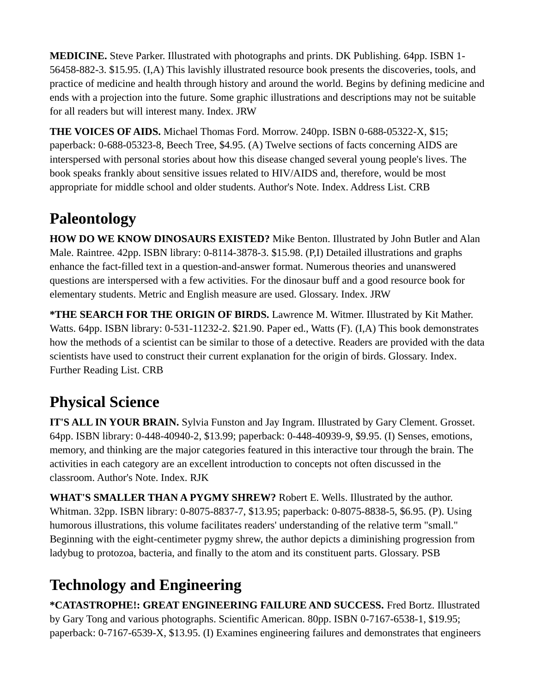**MEDICINE.** Steve Parker. Illustrated with photographs and prints. DK Publishing. 64pp. ISBN 1- 56458-882-3. \$15.95. (I,A) This lavishly illustrated resource book presents the discoveries, tools, and practice of medicine and health through history and around the world. Begins by defining medicine and ends with a projection into the future. Some graphic illustrations and descriptions may not be suitable for all readers but will interest many. Index. JRW

**THE VOICES OF AIDS.** Michael Thomas Ford. Morrow. 240pp. ISBN 0-688-05322-X, \$15; paperback: 0-688-05323-8, Beech Tree, \$4.95. (A) Twelve sections of facts concerning AIDS are interspersed with personal stories about how this disease changed several young people's lives. The book speaks frankly about sensitive issues related to HIV/AIDS and, therefore, would be most appropriate for middle school and older students. Author's Note. Index. Address List. CRB

## <span id="page-8-2"></span>**Paleontology**

**HOW DO WE KNOW DINOSAURS EXISTED?** Mike Benton. Illustrated by John Butler and Alan Male. Raintree. 42pp. ISBN library: 0-8114-3878-3. \$15.98. (P,I) Detailed illustrations and graphs enhance the fact-filled text in a question-and-answer format. Numerous theories and unanswered questions are interspersed with a few activities. For the dinosaur buff and a good resource book for elementary students. Metric and English measure are used. Glossary. Index. JRW

**\*THE SEARCH FOR THE ORIGIN OF BIRDS.** Lawrence M. Witmer. Illustrated by Kit Mather. Watts. 64pp. ISBN library: 0-531-11232-2. \$21.90. Paper ed., Watts (F). (I,A) This book demonstrates how the methods of a scientist can be similar to those of a detective. Readers are provided with the data scientists have used to construct their current explanation for the origin of birds. Glossary. Index. Further Reading List. CRB

# <span id="page-8-1"></span>**Physical Science**

**IT'S ALL IN YOUR BRAIN.** Sylvia Funston and Jay Ingram. Illustrated by Gary Clement. Grosset. 64pp. ISBN library: 0-448-40940-2, \$13.99; paperback: 0-448-40939-9, \$9.95. (I) Senses, emotions, memory, and thinking are the major categories featured in this interactive tour through the brain. The activities in each category are an excellent introduction to concepts not often discussed in the classroom. Author's Note. Index. RJK

**WHAT'S SMALLER THAN A PYGMY SHREW?** Robert E. Wells. Illustrated by the author. Whitman. 32pp. ISBN library: 0-8075-8837-7, \$13.95; paperback: 0-8075-8838-5, \$6.95. (P). Using humorous illustrations, this volume facilitates readers' understanding of the relative term "small." Beginning with the eight-centimeter pygmy shrew, the author depicts a diminishing progression from ladybug to protozoa, bacteria, and finally to the atom and its constituent parts. Glossary. PSB

# <span id="page-8-0"></span>**Technology and Engineering**

**\*CATASTROPHE!: GREAT ENGINEERING FAILURE AND SUCCESS.** Fred Bortz. Illustrated by Gary Tong and various photographs. Scientific American. 80pp. ISBN 0-7167-6538-1, \$19.95; paperback: 0-7167-6539-X, \$13.95. (I) Examines engineering failures and demonstrates that engineers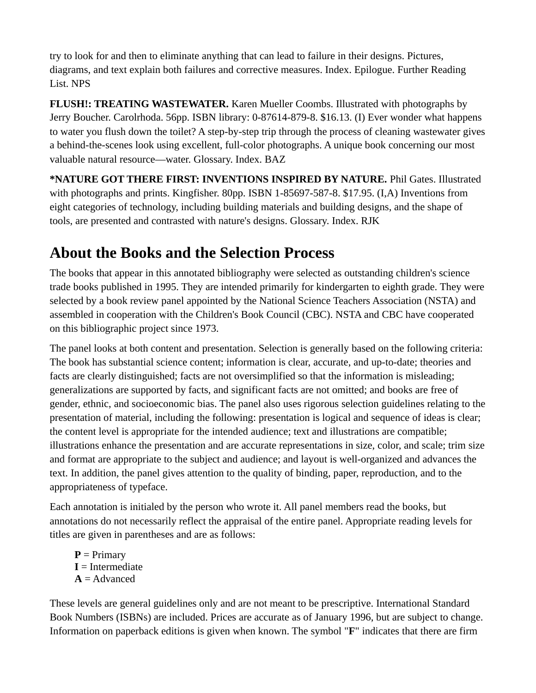try to look for and then to eliminate anything that can lead to failure in their designs. Pictures, diagrams, and text explain both failures and corrective measures. Index. Epilogue. Further Reading List. NPS

**FLUSH!: TREATING WASTEWATER.** Karen Mueller Coombs. Illustrated with photographs by Jerry Boucher. Carolrhoda. 56pp. ISBN library: 0-87614-879-8. \$16.13. (I) Ever wonder what happens to water you flush down the toilet? A step-by-step trip through the process of cleaning wastewater gives a behind-the-scenes look using excellent, full-color photographs. A unique book concerning our most valuable natural resource—water. Glossary. Index. BAZ

**\*NATURE GOT THERE FIRST: INVENTIONS INSPIRED BY NATURE.** Phil Gates. Illustrated with photographs and prints. Kingfisher. 80pp. ISBN 1-85697-587-8. \$17.95. (I,A) Inventions from eight categories of technology, including building materials and building designs, and the shape of tools, are presented and contrasted with nature's designs. Glossary. Index. RJK

## <span id="page-9-0"></span>**About the Books and the Selection Process**

The books that appear in this annotated bibliography were selected as outstanding children's science trade books published in 1995. They are intended primarily for kindergarten to eighth grade. They were selected by a book review panel appointed by the National Science Teachers Association (NSTA) and assembled in cooperation with the Children's Book Council (CBC). NSTA and CBC have cooperated on this bibliographic project since 1973.

The panel looks at both content and presentation. Selection is generally based on the following criteria: The book has substantial science content; information is clear, accurate, and up-to-date; theories and facts are clearly distinguished; facts are not oversimplified so that the information is misleading; generalizations are supported by facts, and significant facts are not omitted; and books are free of gender, ethnic, and socioeconomic bias. The panel also uses rigorous selection guidelines relating to the presentation of material, including the following: presentation is logical and sequence of ideas is clear; the content level is appropriate for the intended audience; text and illustrations are compatible; illustrations enhance the presentation and are accurate representations in size, color, and scale; trim size and format are appropriate to the subject and audience; and layout is well-organized and advances the text. In addition, the panel gives attention to the quality of binding, paper, reproduction, and to the appropriateness of typeface.

Each annotation is initialed by the person who wrote it. All panel members read the books, but annotations do not necessarily reflect the appraisal of the entire panel. Appropriate reading levels for titles are given in parentheses and are as follows:

**P** = Primary **I** = Intermediate **A** = Advanced

These levels are general guidelines only and are not meant to be prescriptive. International Standard Book Numbers (ISBNs) are included. Prices are accurate as of January 1996, but are subject to change. Information on paperback editions is given when known. The symbol "**F**" indicates that there are firm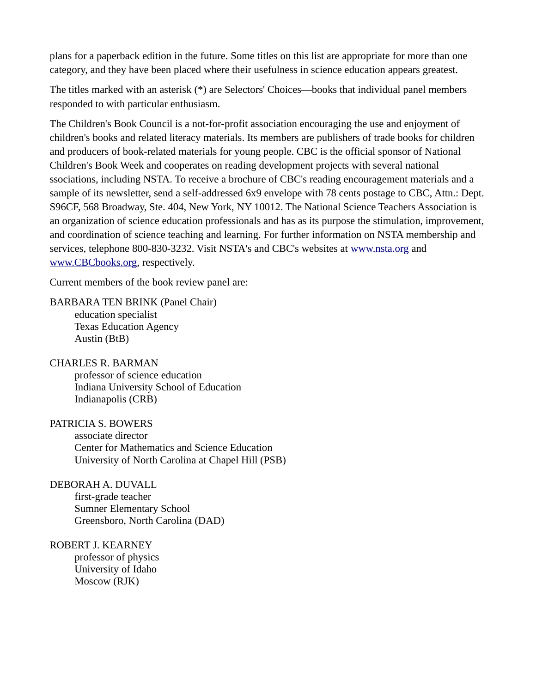plans for a paperback edition in the future. Some titles on this list are appropriate for more than one category, and they have been placed where their usefulness in science education appears greatest.

The titles marked with an asterisk (\*) are Selectors' Choices—books that individual panel members responded to with particular enthusiasm.

The Children's Book Council is a not-for-profit association encouraging the use and enjoyment of children's books and related literacy materials. Its members are publishers of trade books for children and producers of book-related materials for young people. CBC is the official sponsor of National Children's Book Week and cooperates on reading development projects with several national ssociations, including NSTA. To receive a brochure of CBC's reading encouragement materials and a sample of its newsletter, send a self-addressed 6x9 envelope with 78 cents postage to CBC, Attn.: Dept. S96CF, 568 Broadway, Ste. 404, New York, NY 10012. The National Science Teachers Association is an organization of science education professionals and has as its purpose the stimulation, improvement, and coordination of science teaching and learning. For further information on NSTA membership and services, telephone 800-830-3232. Visit NSTA's and CBC's websites at [www.nsta.org](https://old.nsta.org/) and [www.CBCbooks.org](http://www.cbcbooks.org/), respectively.

Current members of the book review panel are:

BARBARA TEN BRINK (Panel Chair) education specialist Texas Education Agency Austin (BtB)

CHARLES R. BARMAN professor of science education Indiana University School of Education Indianapolis (CRB)

PATRICIA S. BOWERS associate director Center for Mathematics and Science Education University of North Carolina at Chapel Hill (PSB)

DEBORAH A. DUVALL first-grade teacher Sumner Elementary School Greensboro, North Carolina (DAD)

ROBERT J. KEARNEY professor of physics University of Idaho Moscow (RJK)